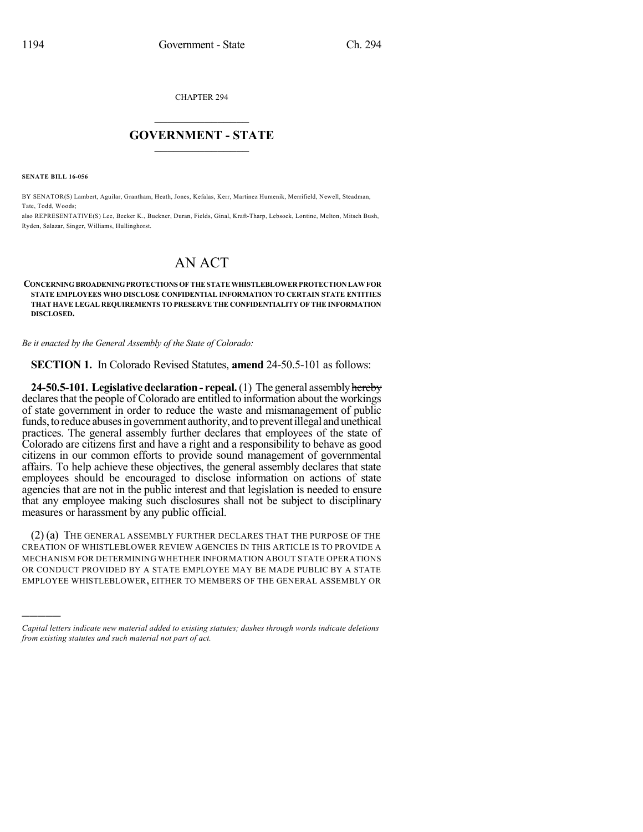CHAPTER 294

## $\mathcal{L}_\text{max}$  . The set of the set of the set of the set of the set of the set of the set of the set of the set of the set of the set of the set of the set of the set of the set of the set of the set of the set of the set **GOVERNMENT - STATE**  $\_$   $\_$   $\_$   $\_$   $\_$   $\_$   $\_$   $\_$   $\_$

**SENATE BILL 16-056**

)))))

BY SENATOR(S) Lambert, Aguilar, Grantham, Heath, Jones, Kefalas, Kerr, Martinez Humenik, Merrifield, Newell, Steadman, Tate, Todd, Woods;

also REPRESENTATIVE(S) Lee, Becker K., Buckner, Duran, Fields, Ginal, Kraft-Tharp, Lebsock, Lontine, Melton, Mitsch Bush, Ryden, Salazar, Singer, Williams, Hullinghorst.

## AN ACT

## **CONCERNINGBROADENINGPROTECTIONS OFTHESTATEWHISTLEBLOWERPROTECTIONLAWFOR STATE EMPLOYEES WHO DISCLOSE CONFIDENTIAL INFORMATION TO CERTAIN STATE ENTITIES THAT HAVE LEGAL REQUIREMENTS TO PRESERVE THE CONFIDENTIALITY OF THE INFORMATION DISCLOSED.**

*Be it enacted by the General Assembly of the State of Colorado:*

**SECTION 1.** In Colorado Revised Statutes, **amend** 24-50.5-101 as follows:

**24-50.5-101. Legislative declaration - repeal.** (1) The general assembly hereby declares that the people of Colorado are entitled to information about the workings of state government in order to reduce the waste and mismanagement of public funds, to reduce abuses in government authority, and to prevent illegal and unethical practices. The general assembly further declares that employees of the state of Colorado are citizens first and have a right and a responsibility to behave as good citizens in our common efforts to provide sound management of governmental affairs. To help achieve these objectives, the general assembly declares that state employees should be encouraged to disclose information on actions of state agencies that are not in the public interest and that legislation is needed to ensure that any employee making such disclosures shall not be subject to disciplinary measures or harassment by any public official.

(2) (a) THE GENERAL ASSEMBLY FURTHER DECLARES THAT THE PURPOSE OF THE CREATION OF WHISTLEBLOWER REVIEW AGENCIES IN THIS ARTICLE IS TO PROVIDE A MECHANISM FOR DETERMINING WHETHER INFORMATION ABOUT STATE OPERATIONS OR CONDUCT PROVIDED BY A STATE EMPLOYEE MAY BE MADE PUBLIC BY A STATE EMPLOYEE WHISTLEBLOWER, EITHER TO MEMBERS OF THE GENERAL ASSEMBLY OR

*Capital letters indicate new material added to existing statutes; dashes through words indicate deletions from existing statutes and such material not part of act.*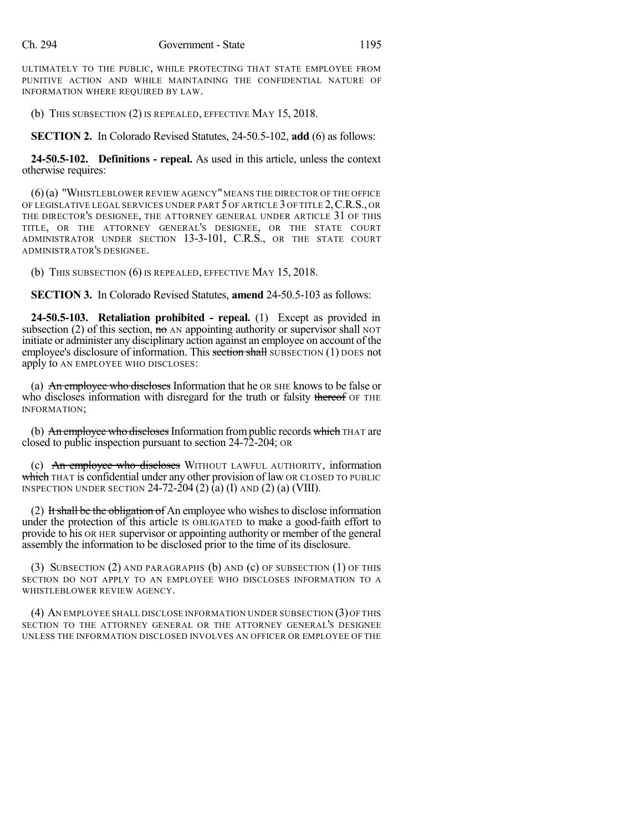ULTIMATELY TO THE PUBLIC, WHILE PROTECTING THAT STATE EMPLOYEE FROM PUNITIVE ACTION AND WHILE MAINTAINING THE CONFIDENTIAL NATURE OF INFORMATION WHERE REQUIRED BY LAW.

(b) THIS SUBSECTION (2) IS REPEALED, EFFECTIVE MAY 15, 2018.

**SECTION 2.** In Colorado Revised Statutes, 24-50.5-102, **add** (6) as follows:

**24-50.5-102. Definitions - repeal.** As used in this article, unless the context otherwise requires:

(6)(a) "WHISTLEBLOWER REVIEW AGENCY"MEANS THE DIRECTOR OF THE OFFICE OF LEGISLATIVE LEGAL SERVICES UNDER PART 5 OF ARTICLE 3 OF TITLE 2,C.R.S., OR THE DIRECTOR'S DESIGNEE, THE ATTORNEY GENERAL UNDER ARTICLE 31 OF THIS TITLE, OR THE ATTORNEY GENERAL'S DESIGNEE, OR THE STATE COURT ADMINISTRATOR UNDER SECTION 13-3-101, C.R.S., OR THE STATE COURT ADMINISTRATOR'S DESIGNEE.

(b) THIS SUBSECTION (6) IS REPEALED, EFFECTIVE MAY 15, 2018.

**SECTION 3.** In Colorado Revised Statutes, **amend** 24-50.5-103 as follows:

**24-50.5-103. Retaliation prohibited - repeal.** (1) Except as provided in subsection (2) of this section,  $\theta$  and appointing authority or supervisor shall NOT initiate or administer any disciplinary action against an employee on account of the employee's disclosure of information. This section shall SUBSECTION (1) DOES not apply to AN EMPLOYEE WHO DISCLOSES:

(a) An employee who discloses Information that he OR SHE knows to be false or who discloses information with disregard for the truth or falsity thereof OF THE INFORMATION;

(b) An employee who discloses Information from public records which THAT are closed to public inspection pursuant to section 24-72-204; OR

(c) An employee who discloses WITHOUT LAWFUL AUTHORITY, information which THAT is confidential under any other provision of law OR CLOSED TO PUBLIC INSPECTION UNDER SECTION  $24-72-204$  (2) (a) (I) AND (2) (a) (VIII).

(2) It shall be the obligation of An employee who wishes to disclose information under the protection of this article IS OBLIGATED to make a good-faith effort to provide to his OR HER supervisor or appointing authority or member of the general assembly the information to be disclosed prior to the time of its disclosure.

(3) SUBSECTION (2) AND PARAGRAPHS (b) AND (c) OF SUBSECTION (1) OF THIS SECTION DO NOT APPLY TO AN EMPLOYEE WHO DISCLOSES INFORMATION TO A WHISTLEBLOWER REVIEW AGENCY.

(4) AN EMPLOYEE SHALL DISCLOSE INFORMATION UNDER SUBSECTION (3)OF THIS SECTION TO THE ATTORNEY GENERAL OR THE ATTORNEY GENERAL'S DESIGNEE UNLESS THE INFORMATION DISCLOSED INVOLVES AN OFFICER OR EMPLOYEE OF THE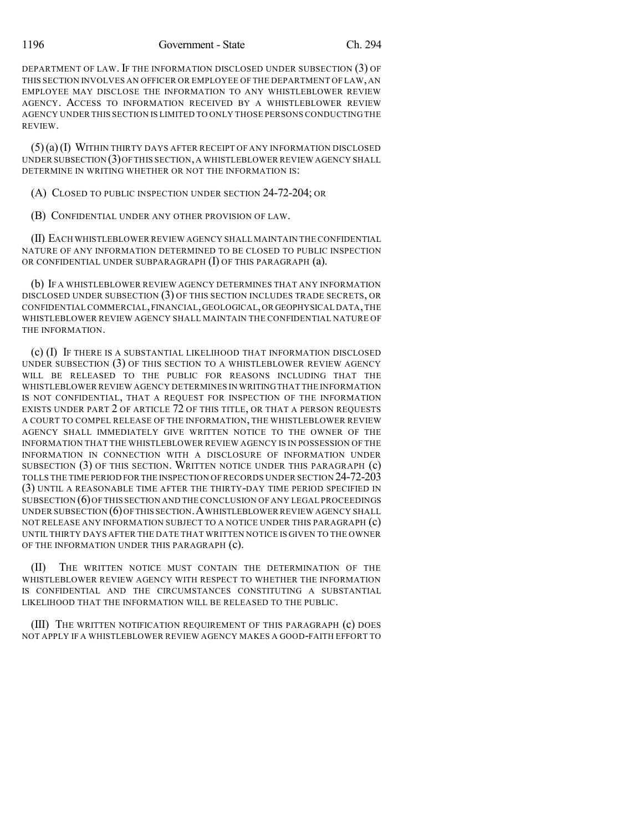1196 Government - State Ch. 294

DEPARTMENT OF LAW. IF THE INFORMATION DISCLOSED UNDER SUBSECTION (3) OF THIS SECTION INVOLVES AN OFFICER OR EMPLOYEE OF THE DEPARTMENT OF LAW, AN EMPLOYEE MAY DISCLOSE THE INFORMATION TO ANY WHISTLEBLOWER REVIEW AGENCY. ACCESS TO INFORMATION RECEIVED BY A WHISTLEBLOWER REVIEW AGENCY UNDER THIS SECTION IS LIMITED TO ONLY THOSE PERSONS CONDUCTING THE REVIEW.

(5)(a)(I) WITHIN THIRTY DAYS AFTER RECEIPT OF ANY INFORMATION DISCLOSED UNDER SUBSECTION (3)OFTHIS SECTION,A WHISTLEBLOWER REVIEW AGENCY SHALL DETERMINE IN WRITING WHETHER OR NOT THE INFORMATION IS:

(A) CLOSED TO PUBLIC INSPECTION UNDER SECTION 24-72-204; OR

(B) CONFIDENTIAL UNDER ANY OTHER PROVISION OF LAW.

(II) EACH WHISTLEBLOWER REVIEW AGENCY SHALL MAINTAIN THE CONFIDENTIAL NATURE OF ANY INFORMATION DETERMINED TO BE CLOSED TO PUBLIC INSPECTION OR CONFIDENTIAL UNDER SUBPARAGRAPH (I) OF THIS PARAGRAPH (a).

(b) IF A WHISTLEBLOWER REVIEW AGENCY DETERMINES THAT ANY INFORMATION DISCLOSED UNDER SUBSECTION (3) OF THIS SECTION INCLUDES TRADE SECRETS, OR CONFIDENTIAL COMMERCIAL,FINANCIAL,GEOLOGICAL,OR GEOPHYSICAL DATA,THE WHISTLEBLOWER REVIEW AGENCY SHALL MAINTAIN THE CONFIDENTIAL NATURE OF THE INFORMATION.

(c) (I) IF THERE IS A SUBSTANTIAL LIKELIHOOD THAT INFORMATION DISCLOSED UNDER SUBSECTION (3) OF THIS SECTION TO A WHISTLEBLOWER REVIEW AGENCY WILL BE RELEASED TO THE PUBLIC FOR REASONS INCLUDING THAT THE WHISTLEBLOWER REVIEW AGENCY DETERMINES IN WRITINGTHAT THE INFORMATION IS NOT CONFIDENTIAL, THAT A REQUEST FOR INSPECTION OF THE INFORMATION EXISTS UNDER PART 2 OF ARTICLE 72 OF THIS TITLE, OR THAT A PERSON REQUESTS A COURT TO COMPEL RELEASE OF THE INFORMATION, THE WHISTLEBLOWER REVIEW AGENCY SHALL IMMEDIATELY GIVE WRITTEN NOTICE TO THE OWNER OF THE INFORMATION THAT THE WHISTLEBLOWER REVIEW AGENCY IS IN POSSESSION OF THE INFORMATION IN CONNECTION WITH A DISCLOSURE OF INFORMATION UNDER SUBSECTION (3) OF THIS SECTION. WRITTEN NOTICE UNDER THIS PARAGRAPH (c) TOLLS THE TIME PERIOD FOR THE INSPECTION OFRECORDS UNDER SECTION 24-72-203 (3) UNTIL A REASONABLE TIME AFTER THE THIRTY-DAY TIME PERIOD SPECIFIED IN SUBSECTION (6)OF THIS SECTION AND THE CONCLUSION OF ANY LEGAL PROCEEDINGS UNDER SUBSECTION (6)OFTHIS SECTION.AWHISTLEBLOWER REVIEW AGENCY SHALL NOT RELEASE ANY INFORMATION SUBJECT TO A NOTICE UNDER THIS PARAGRAPH (c) UNTIL THIRTY DAYS AFTER THE DATE THAT WRITTEN NOTICE IS GIVEN TO THE OWNER OF THE INFORMATION UNDER THIS PARAGRAPH (c).

(II) THE WRITTEN NOTICE MUST CONTAIN THE DETERMINATION OF THE WHISTLEBLOWER REVIEW AGENCY WITH RESPECT TO WHETHER THE INFORMATION IS CONFIDENTIAL AND THE CIRCUMSTANCES CONSTITUTING A SUBSTANTIAL LIKELIHOOD THAT THE INFORMATION WILL BE RELEASED TO THE PUBLIC.

(III) THE WRITTEN NOTIFICATION REQUIREMENT OF THIS PARAGRAPH (c) DOES NOT APPLY IF A WHISTLEBLOWER REVIEW AGENCY MAKES A GOOD-FAITH EFFORT TO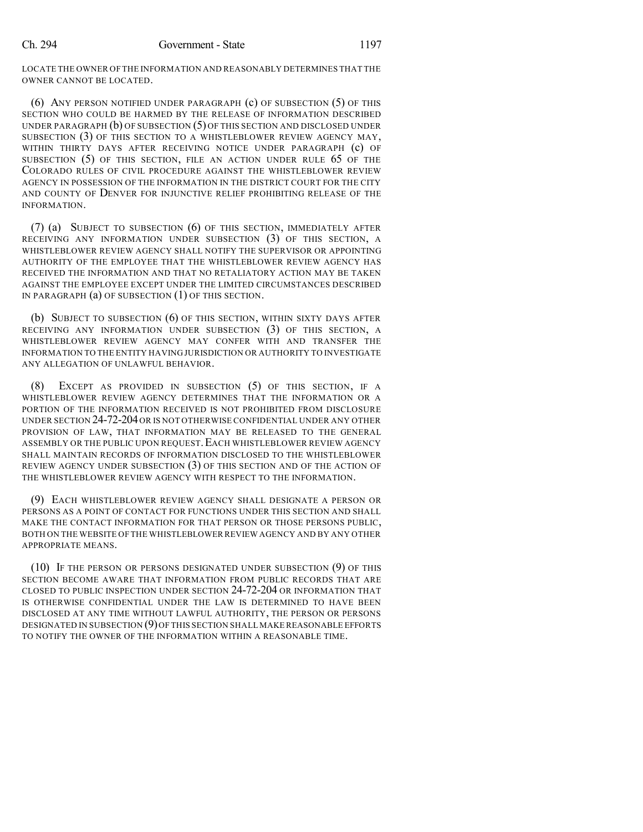LOCATE THE OWNER OF THE INFORMATION AND REASONABLY DETERMINES THAT THE OWNER CANNOT BE LOCATED.

(6) ANY PERSON NOTIFIED UNDER PARAGRAPH (c) OF SUBSECTION (5) OF THIS SECTION WHO COULD BE HARMED BY THE RELEASE OF INFORMATION DESCRIBED UNDER PARAGRAPH (b) OF SUBSECTION (5) OF THIS SECTION AND DISCLOSED UNDER SUBSECTION (3) OF THIS SECTION TO A WHISTLEBLOWER REVIEW AGENCY MAY, WITHIN THIRTY DAYS AFTER RECEIVING NOTICE UNDER PARAGRAPH (C) OF SUBSECTION (5) OF THIS SECTION, FILE AN ACTION UNDER RULE 65 OF THE COLORADO RULES OF CIVIL PROCEDURE AGAINST THE WHISTLEBLOWER REVIEW AGENCY IN POSSESSION OF THE INFORMATION IN THE DISTRICT COURT FOR THE CITY AND COUNTY OF DENVER FOR INJUNCTIVE RELIEF PROHIBITING RELEASE OF THE INFORMATION.

(7) (a) SUBJECT TO SUBSECTION (6) OF THIS SECTION, IMMEDIATELY AFTER RECEIVING ANY INFORMATION UNDER SUBSECTION (3) OF THIS SECTION, A WHISTLEBLOWER REVIEW AGENCY SHALL NOTIFY THE SUPERVISOR OR APPOINTING AUTHORITY OF THE EMPLOYEE THAT THE WHISTLEBLOWER REVIEW AGENCY HAS RECEIVED THE INFORMATION AND THAT NO RETALIATORY ACTION MAY BE TAKEN AGAINST THE EMPLOYEE EXCEPT UNDER THE LIMITED CIRCUMSTANCES DESCRIBED IN PARAGRAPH (a) OF SUBSECTION (1) OF THIS SECTION.

(b) SUBJECT TO SUBSECTION (6) OF THIS SECTION, WITHIN SIXTY DAYS AFTER RECEIVING ANY INFORMATION UNDER SUBSECTION (3) OF THIS SECTION, A WHISTLEBLOWER REVIEW AGENCY MAY CONFER WITH AND TRANSFER THE INFORMATION TO THE ENTITY HAVING JURISDICTION OR AUTHORITY TO INVESTIGATE ANY ALLEGATION OF UNLAWFUL BEHAVIOR.

(8) EXCEPT AS PROVIDED IN SUBSECTION (5) OF THIS SECTION, IF A WHISTLEBLOWER REVIEW AGENCY DETERMINES THAT THE INFORMATION OR A PORTION OF THE INFORMATION RECEIVED IS NOT PROHIBITED FROM DISCLOSURE UNDER SECTION 24-72-204OR IS NOT OTHERWISE CONFIDENTIAL UNDER ANY OTHER PROVISION OF LAW, THAT INFORMATION MAY BE RELEASED TO THE GENERAL ASSEMBLY OR THE PUBLIC UPON REQUEST.EACH WHISTLEBLOWER REVIEW AGENCY SHALL MAINTAIN RECORDS OF INFORMATION DISCLOSED TO THE WHISTLEBLOWER REVIEW AGENCY UNDER SUBSECTION (3) OF THIS SECTION AND OF THE ACTION OF THE WHISTLEBLOWER REVIEW AGENCY WITH RESPECT TO THE INFORMATION.

(9) EACH WHISTLEBLOWER REVIEW AGENCY SHALL DESIGNATE A PERSON OR PERSONS AS A POINT OF CONTACT FOR FUNCTIONS UNDER THIS SECTION AND SHALL MAKE THE CONTACT INFORMATION FOR THAT PERSON OR THOSE PERSONS PUBLIC, BOTH ON THE WEBSITE OF THE WHISTLEBLOWER REVIEW AGENCY AND BY ANY OTHER APPROPRIATE MEANS.

(10) IF THE PERSON OR PERSONS DESIGNATED UNDER SUBSECTION (9) OF THIS SECTION BECOME AWARE THAT INFORMATION FROM PUBLIC RECORDS THAT ARE CLOSED TO PUBLIC INSPECTION UNDER SECTION 24-72-204 OR INFORMATION THAT IS OTHERWISE CONFIDENTIAL UNDER THE LAW IS DETERMINED TO HAVE BEEN DISCLOSED AT ANY TIME WITHOUT LAWFUL AUTHORITY, THE PERSON OR PERSONS DESIGNATED IN SUBSECTION (9)OF THIS SECTION SHALL MAKE REASONABLE EFFORTS TO NOTIFY THE OWNER OF THE INFORMATION WITHIN A REASONABLE TIME.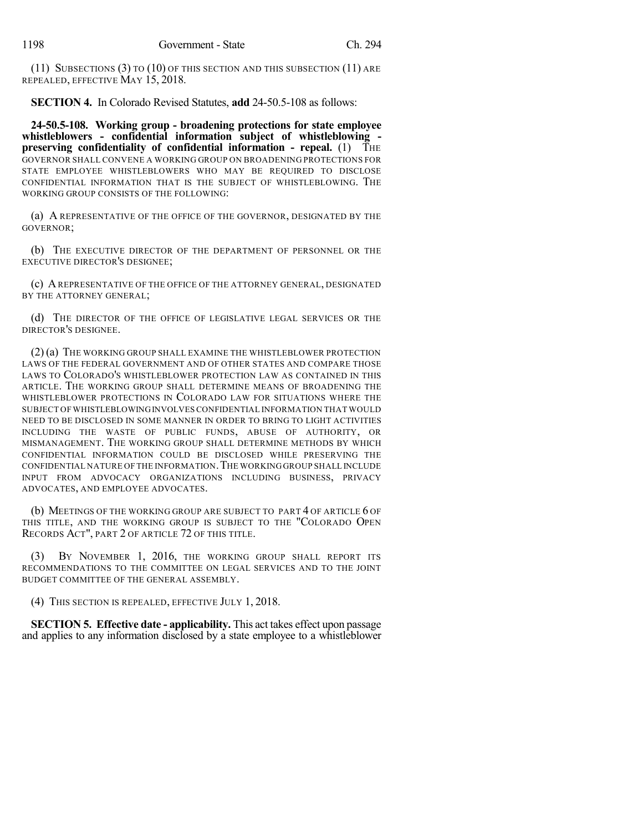(11) SUBSECTIONS (3) TO (10) OF THIS SECTION AND THIS SUBSECTION (11) ARE REPEALED, EFFECTIVE MAY 15, 2018.

**SECTION 4.** In Colorado Revised Statutes, **add** 24-50.5-108 as follows:

**24-50.5-108. Working group - broadening protections for state employee whistleblowers - confidential information subject of whistleblowing preserving confidentiality of confidential information - repeal.** (1) THE GOVERNOR SHALL CONVENE A WORKING GROUP ON BROADENING PROTECTIONS FOR STATE EMPLOYEE WHISTLEBLOWERS WHO MAY BE REQUIRED TO DISCLOSE CONFIDENTIAL INFORMATION THAT IS THE SUBJECT OF WHISTLEBLOWING. THE WORKING GROUP CONSISTS OF THE FOLLOWING:

(a) A REPRESENTATIVE OF THE OFFICE OF THE GOVERNOR, DESIGNATED BY THE GOVERNOR;

(b) THE EXECUTIVE DIRECTOR OF THE DEPARTMENT OF PERSONNEL OR THE EXECUTIVE DIRECTOR'S DESIGNEE;

(c) AREPRESENTATIVE OF THE OFFICE OF THE ATTORNEY GENERAL, DESIGNATED BY THE ATTORNEY GENERAL;

(d) THE DIRECTOR OF THE OFFICE OF LEGISLATIVE LEGAL SERVICES OR THE DIRECTOR'S DESIGNEE.

(2) (a) THE WORKING GROUP SHALL EXAMINE THE WHISTLEBLOWER PROTECTION LAWS OF THE FEDERAL GOVERNMENT AND OF OTHER STATES AND COMPARE THOSE LAWS TO COLORADO'S WHISTLEBLOWER PROTECTION LAW AS CONTAINED IN THIS ARTICLE. THE WORKING GROUP SHALL DETERMINE MEANS OF BROADENING THE WHISTLEBLOWER PROTECTIONS IN COLORADO LAW FOR SITUATIONS WHERE THE SUBJECT OF WHISTLEBLOWINGINVOLVESCONFIDENTIAL INFORMATION THAT WOULD NEED TO BE DISCLOSED IN SOME MANNER IN ORDER TO BRING TO LIGHT ACTIVITIES INCLUDING THE WASTE OF PUBLIC FUNDS, ABUSE OF AUTHORITY, OR MISMANAGEMENT. THE WORKING GROUP SHALL DETERMINE METHODS BY WHICH CONFIDENTIAL INFORMATION COULD BE DISCLOSED WHILE PRESERVING THE CONFIDENTIAL NATURE OF THE INFORMATION. THE WORKING GROUP SHALL INCLUDE INPUT FROM ADVOCACY ORGANIZATIONS INCLUDING BUSINESS, PRIVACY ADVOCATES, AND EMPLOYEE ADVOCATES.

(b) MEETINGS OF THE WORKING GROUP ARE SUBJECT TO PART 4 OF ARTICLE 6 OF THIS TITLE, AND THE WORKING GROUP IS SUBJECT TO THE "COLORADO OPEN RECORDS ACT", PART 2 OF ARTICLE 72 OF THIS TITLE.

BY NOVEMBER 1, 2016, THE WORKING GROUP SHALL REPORT ITS RECOMMENDATIONS TO THE COMMITTEE ON LEGAL SERVICES AND TO THE JOINT BUDGET COMMITTEE OF THE GENERAL ASSEMBLY.

(4) THIS SECTION IS REPEALED, EFFECTIVE JULY 1, 2018.

**SECTION 5. Effective date - applicability.** This act takes effect upon passage and applies to any information disclosed by a state employee to a whistleblower